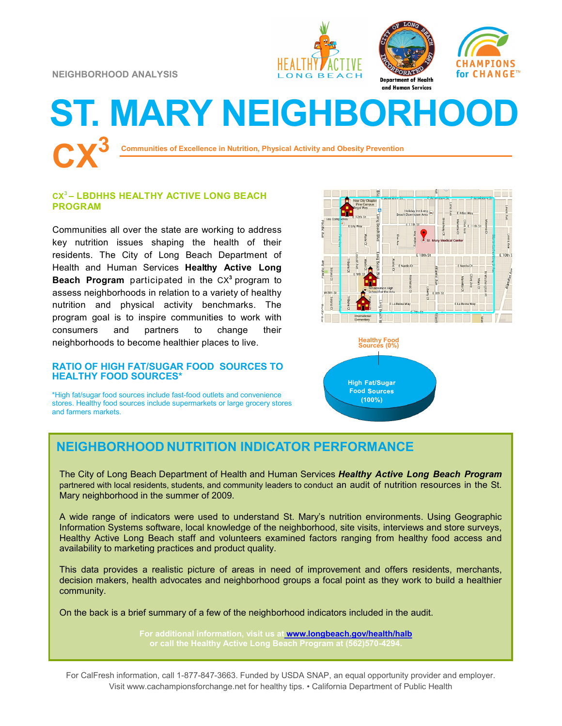**NEIGHBORHOOD ANALYSIS**







# **ST. MARY NEIGHBORHOOD CX<sup>3</sup>**

**Communities of Excellence in Nutrition, Physical Activity and Obesity Prevention**

### **CX<sup>3</sup>– LBDHHS HEALTHY ACTIVE LONG BEACH PROGRAM**

Communities all over the state are working to address key nutrition issues shaping the health of their residents. The City of Long Beach Department of Health and Human Services **Healthy Active Long Beach Program** participated in the CX**<sup>3</sup>** program to assess neighborhoods in relation to a variety of healthy nutrition and physical activity benchmarks. The program goal is to inspire communities to work with consumers and partners to change their neighborhoods to become healthier places to live.

#### **RATIO OF HIGH FAT/SUGAR FOOD SOURCES TO HEALTHY FOOD SOURCES\***

\*High fat/sugar food sources include fast-food outlets and convenience stores. Healthy food sources include supermarkets or large grocery stores and farmers markets.





## **NEIGHBORHOOD NUTRITION INDICATOR PERFORMANCE**

The City of Long Beach Department of Health and Human Services *Healthy Active Long Beach Program*  partnered with local residents, students, and community leaders to conduct an audit of nutrition resources in the St. Mary neighborhood in the summer of 2009.

A wide range of indicators were used to understand St. Mary's nutrition environments. Using Geographic Information Systems software, local knowledge of the neighborhood, site visits, interviews and store surveys, Healthy Active Long Beach staff and volunteers examined factors ranging from healthy food access and availability to marketing practices and product quality.

This data provides a realistic picture of areas in need of improvement and offers residents, merchants, decision makers, health advocates and neighborhood groups a focal point as they work to build a healthier community.

On the back is a brief summary of a few of the neighborhood indicators included in the audit.

**For additional information, visit us at [www.longbeach.gov/health/halb](http://%20www.longbeach.gov/health%20)** 

For CalFresh information, call 1-877-847-3663. Funded by USDA SNAP, an equal opportunity provider and employer. Visit www.cachampionsforchange.net for healthy tips. • California Department of Public Health